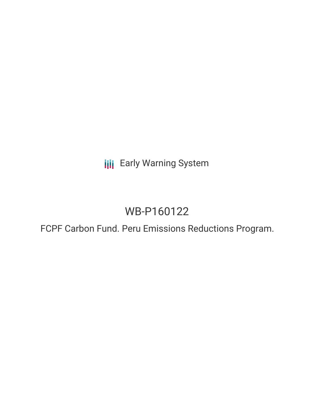**III** Early Warning System

# WB-P160122

FCPF Carbon Fund. Peru Emissions Reductions Program.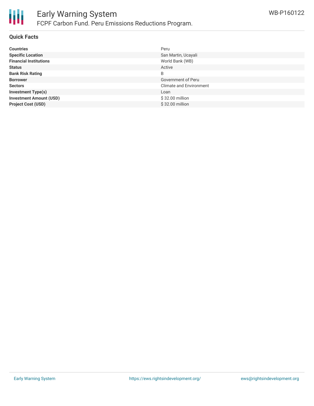

#### **Quick Facts**

| <b>Countries</b>               | Peru                           |
|--------------------------------|--------------------------------|
| <b>Specific Location</b>       | San Martin, Ucayali            |
| <b>Financial Institutions</b>  | World Bank (WB)                |
| <b>Status</b>                  | Active                         |
| <b>Bank Risk Rating</b>        | B                              |
| <b>Borrower</b>                | Government of Peru             |
| <b>Sectors</b>                 | <b>Climate and Environment</b> |
| <b>Investment Type(s)</b>      | Loan                           |
| <b>Investment Amount (USD)</b> | \$32.00 million                |
| <b>Project Cost (USD)</b>      | \$32.00 million                |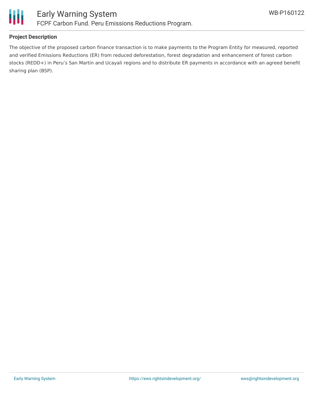

### **Project Description**

The objective of the proposed carbon finance transaction is to make payments to the Program Entity for measured, reported and verified Emissions Reductions (ER) from reduced deforestation, forest degradation and enhancement of forest carbon stocks (REDD+) in Peru's San Martin and Ucayali regions and to distribute ER payments in accordance with an agreed benefit sharing plan (BSP).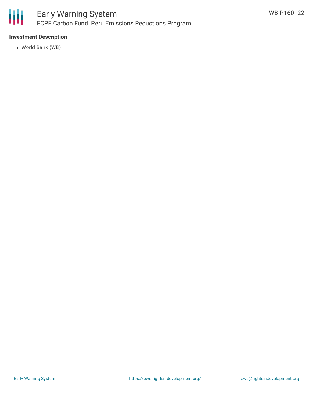

## Early Warning System FCPF Carbon Fund. Peru Emissions Reductions Program.

### **Investment Description**

World Bank (WB)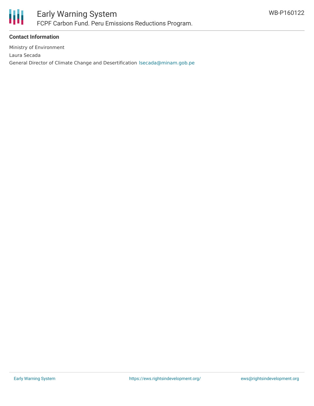

### **Contact Information**

Ministry of Environment Laura Secada General Director of Climate Change and Desertification [lsecada@minam.gob.pe](mailto:lsecada@minam.gob.pe)